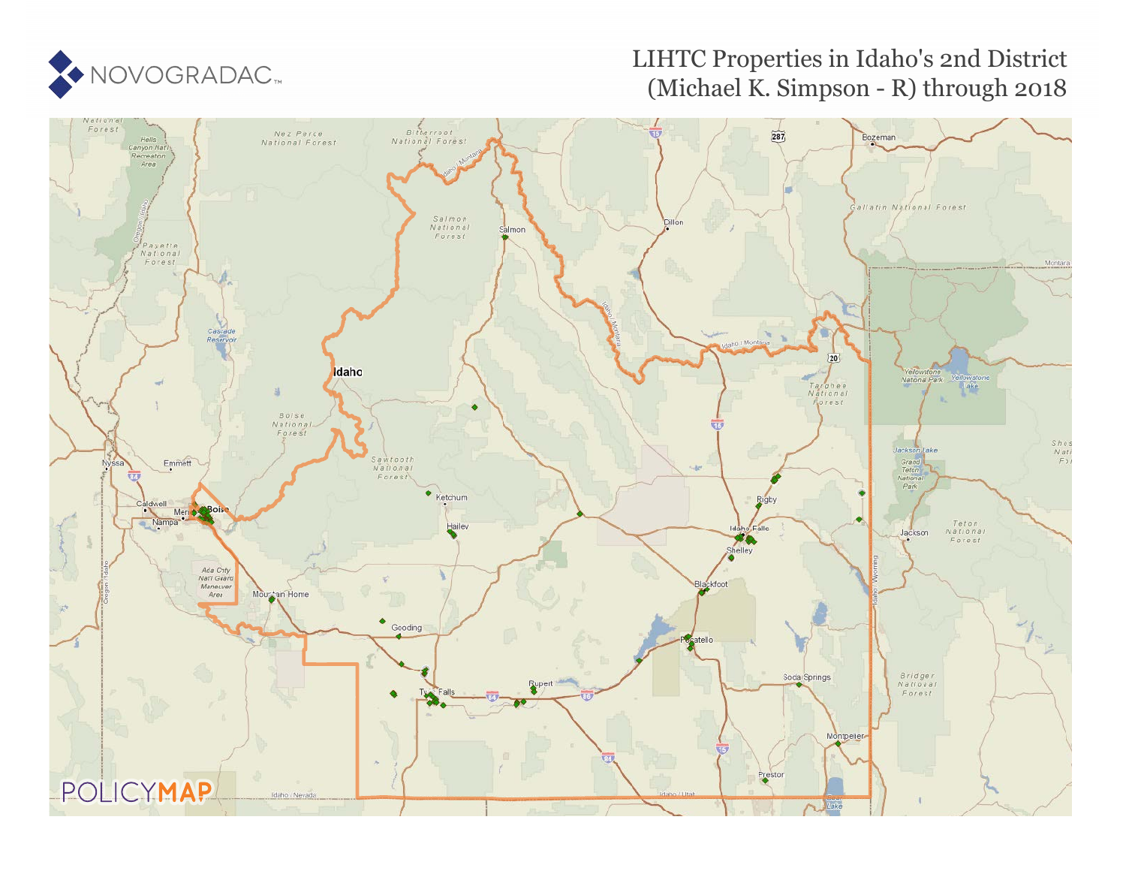

# LIHTC Properties in Idaho's 2nd District (Michael K. Simpson - R) through 2018

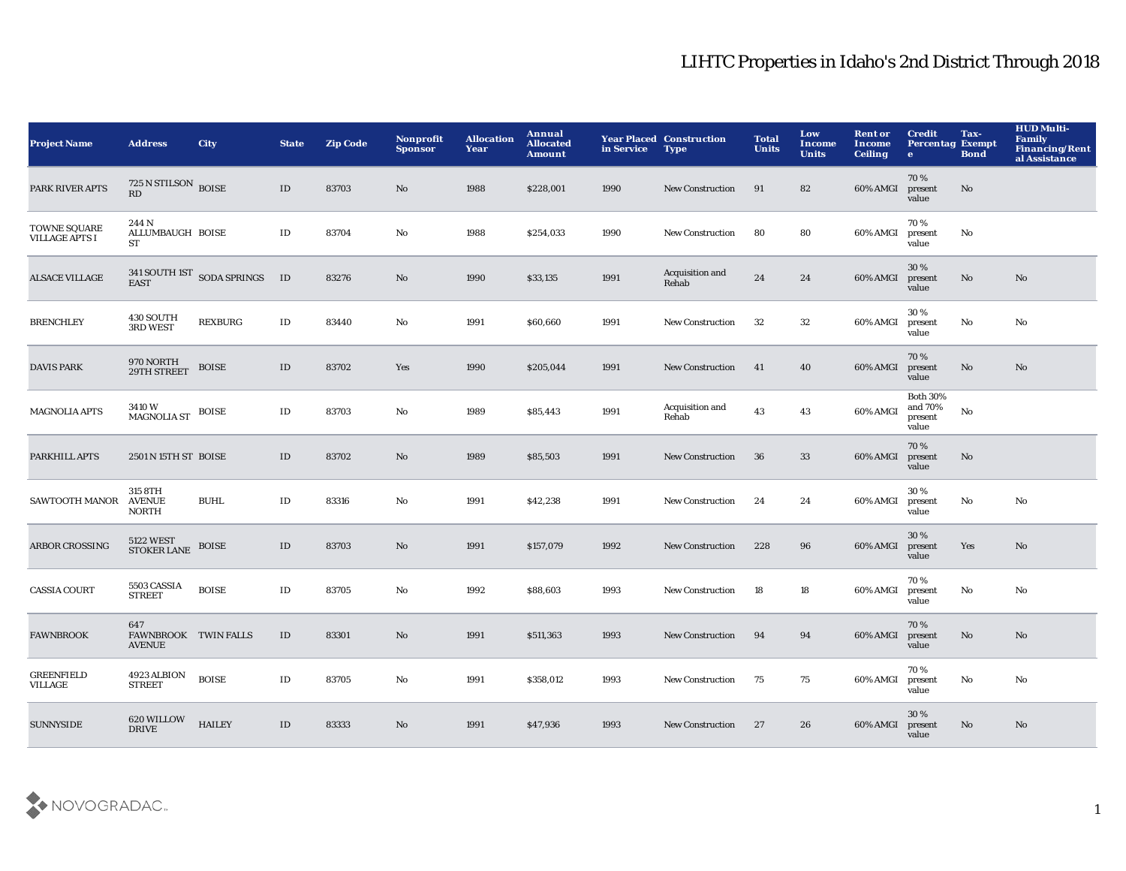| <b>Project Name</b>                   | <b>Address</b>                               | <b>City</b>                        | <b>State</b>  | <b>Zip Code</b> | Nonprofit<br><b>Sponsor</b> | <b>Allocation</b><br>Year | Annual<br><b>Allocated</b><br><b>Amount</b> | in Service | <b>Year Placed Construction</b><br><b>Type</b> | <b>Total</b><br><b>Units</b> | Low<br><b>Income</b><br><b>Units</b> | <b>Rent or</b><br>Income<br><b>Ceiling</b> | <b>Credit</b><br><b>Percentag Exempt</b><br>$\bullet$ | Tax-<br><b>Bond</b> | <b>HUD Multi-</b><br>Family<br>Financing/Rent<br>al Assistance |
|---------------------------------------|----------------------------------------------|------------------------------------|---------------|-----------------|-----------------------------|---------------------------|---------------------------------------------|------------|------------------------------------------------|------------------------------|--------------------------------------|--------------------------------------------|-------------------------------------------------------|---------------------|----------------------------------------------------------------|
| PARK RIVER APTS                       | 725 N STILSON BOISE<br>RD                    |                                    | ID            | 83703           | No                          | 1988                      | \$228,001                                   | 1990       | <b>New Construction</b>                        | 91                           | 82                                   | 60% AMGI                                   | 70%<br>present<br>value                               | No                  |                                                                |
| TOWNE SQUARE<br><b>VILLAGE APTS I</b> | 244 N<br>ALLUMBAUGH BOISE<br>ST              |                                    | ID            | 83704           | $\mathbf {No}$              | 1988                      | \$254,033                                   | 1990       | <b>New Construction</b>                        | 80                           | 80                                   | 60% AMGI                                   | 70%<br>present<br>value                               | $\mathbf {No}$      |                                                                |
| <b>ALSACE VILLAGE</b>                 |                                              | 341 SOUTH IST SODA SPRINGS<br>EAST | ID            | 83276           | $\mathbf{N}\mathbf{o}$      | 1990                      | \$33,135                                    | 1991       | Acquisition and<br>Rehab                       | 24                           | 24                                   | 60% AMGI                                   | 30%<br>present<br>value                               | $\mathbf{No}$       | No                                                             |
| <b>BRENCHLEY</b>                      | 430 SOUTH<br>3RD WEST                        | <b>REXBURG</b>                     | $\rm ID$      | 83440           | $\mathbf{No}$               | 1991                      | \$60,660                                    | 1991       | <b>New Construction</b>                        | 32                           | 32                                   | 60% AMGI                                   | 30%<br>present<br>value                               | $\mathbf {No}$      | No                                                             |
| <b>DAVIS PARK</b>                     | 970 NORTH<br>29TH STREET                     | <b>BOISE</b>                       | $\mathbf{ID}$ | 83702           | Yes                         | 1990                      | \$205,044                                   | 1991       | New Construction                               | 41                           | 40                                   | 60% AMGI                                   | 70%<br>present<br>value                               | No                  | No                                                             |
| <b>MAGNOLIA APTS</b>                  | 3410W<br><b>MAGNOLIA ST</b>                  | <b>BOISE</b>                       | $\rm ID$      | 83703           | No                          | 1989                      | \$85,443                                    | 1991       | Acquisition and<br>Rehab                       | 43                           | 43                                   | 60% AMGI                                   | <b>Both 30%</b><br>and 70%<br>present<br>value        | $\mathbf {No}$      |                                                                |
| PARKHILL APTS                         | 2501 N 15TH ST BOISE                         |                                    | ID            | 83702           | No                          | 1989                      | \$85,503                                    | 1991       | <b>New Construction</b>                        | 36                           | 33                                   | 60% AMGI                                   | 70%<br>present<br>value                               | $\mathbf{No}$       |                                                                |
| SAWTOOTH MANOR                        | 315 8TH<br><b>AVENUE</b><br><b>NORTH</b>     | <b>BUHL</b>                        | $\rm ID$      | 83316           | No                          | 1991                      | \$42,238                                    | 1991       | New Construction                               | 24                           | 24                                   | 60% AMGI                                   | 30%<br>present<br>value                               | No                  | No                                                             |
| ARBOR CROSSING                        | 5122 WEST<br>STOKER LANE                     | <b>BOISE</b>                       | $\mathbf{ID}$ | 83703           | No                          | 1991                      | \$157,079                                   | 1992       | <b>New Construction</b>                        | 228                          | 96                                   | 60% AMGI                                   | 30%<br>present<br>value                               | Yes                 | No                                                             |
| <b>CASSIA COURT</b>                   | 5503 CASSIA<br><b>STREET</b>                 | <b>BOISE</b>                       | $\rm ID$      | 83705           | No                          | 1992                      | \$88,603                                    | 1993       | New Construction                               | 18                           | 18                                   | 60% AMGI                                   | 70%<br>present<br>value                               | No                  | No                                                             |
| <b>FAWNBROOK</b>                      | 647<br>FAWNBROOK TWIN FALLS<br><b>AVENUE</b> |                                    | ID            | 83301           | No                          | 1991                      | \$511,363                                   | 1993       | <b>New Construction</b>                        | 94                           | 94                                   | 60% AMGI                                   | 70%<br>present<br>value                               | No                  | No                                                             |
| <b>GREENFIELD</b><br><b>VILLAGE</b>   | 4923 ALBION<br><b>STREET</b>                 | <b>BOISE</b>                       | $\rm ID$      | 83705           | No                          | 1991                      | \$358,012                                   | 1993       | <b>New Construction</b>                        | 75                           | 75                                   | 60% AMGI                                   | 70%<br>present<br>value                               | No                  | No                                                             |
| <b>SUNNYSIDE</b>                      | 620 WILLOW<br><b>DRIVE</b>                   | <b>HAILEY</b>                      | ID            | 83333           | No                          | 1991                      | \$47,936                                    | 1993       | <b>New Construction</b>                        | 27                           | 26                                   | 60% AMGI                                   | 30 %<br>present<br>value                              | No.                 | N <sub>o</sub>                                                 |

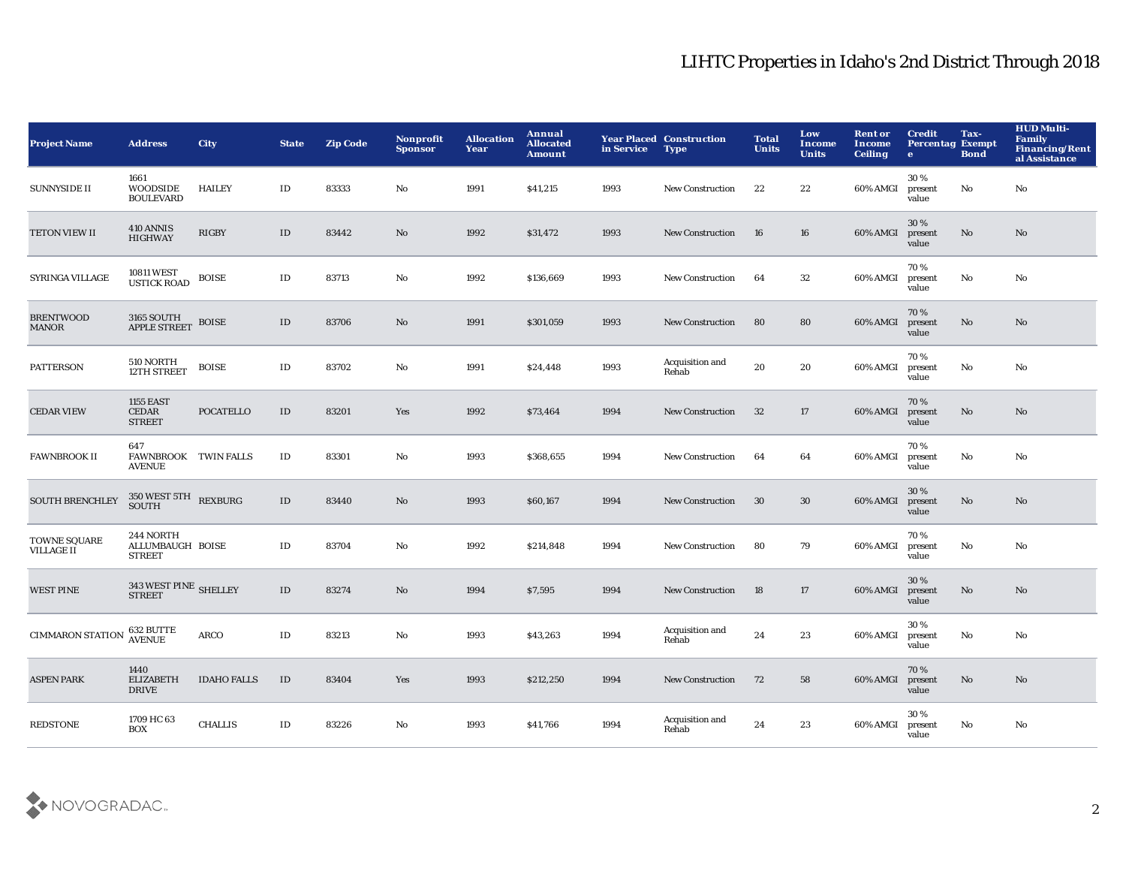| <b>Project Name</b>               | <b>Address</b>                                 | City               | <b>State</b>  | <b>Zip Code</b> | Nonprofit<br><b>Sponsor</b> | <b>Allocation</b><br>Year | Annual<br><b>Allocated</b><br><b>Amount</b> | in Service | <b>Year Placed Construction</b><br><b>Type</b> | <b>Total</b><br><b>Units</b> | Low<br><b>Income</b><br><b>Units</b> | <b>Rent or</b><br>Income<br><b>Ceiling</b> | <b>Credit</b><br><b>Percentag Exempt</b><br>$\bullet$ | Tax-<br><b>Bond</b>    | <b>HUD Multi-</b><br><b>Family</b><br><b>Financing/Rent</b><br>al Assistance |
|-----------------------------------|------------------------------------------------|--------------------|---------------|-----------------|-----------------------------|---------------------------|---------------------------------------------|------------|------------------------------------------------|------------------------------|--------------------------------------|--------------------------------------------|-------------------------------------------------------|------------------------|------------------------------------------------------------------------------|
| <b>SUNNYSIDE II</b>               | 1661<br><b>WOODSIDE</b><br><b>BOULEVARD</b>    | <b>HAILEY</b>      | ID            | 83333           | No                          | 1991                      | \$41,215                                    | 1993       | <b>New Construction</b>                        | 22                           | 22                                   | 60% AMGI                                   | 30%<br>present<br>value                               | No                     | No                                                                           |
| TETON VIEW II                     | 410 ANNIS<br><b>HIGHWAY</b>                    | <b>RIGBY</b>       | $\mathbf{ID}$ | 83442           | No                          | 1992                      | \$31,472                                    | 1993       | <b>New Construction</b>                        | 16                           | 16                                   | 60% AMGI                                   | 30 %<br>present<br>value                              | $\mathbf{N}\mathbf{o}$ | No                                                                           |
| SYRINGA VILLAGE                   | 10811 WEST<br>USTICK ROAD                      | <b>BOISE</b>       | $\rm ID$      | 83713           | No                          | 1992                      | \$136,669                                   | 1993       | <b>New Construction</b>                        | 64                           | 32                                   | 60% AMGI                                   | 70%<br>present<br>value                               | No                     | No                                                                           |
| <b>BRENTWOOD</b><br>MANOR         | 3165 SOUTH<br><b>APPLE STREET</b>              | <b>BOISE</b>       | $\mathbf{ID}$ | 83706           | No                          | 1991                      | \$301,059                                   | 1993       | <b>New Construction</b>                        | 80                           | 80                                   | 60% AMGI                                   | 70%<br>present<br>value                               | $\mathbf{N}\mathbf{o}$ | $\mathbf{N}\mathbf{o}$                                                       |
| <b>PATTERSON</b>                  | 510 NORTH<br>12TH STREET                       | <b>BOISE</b>       | $\rm ID$      | 83702           | No                          | 1991                      | \$24,448                                    | 1993       | Acquisition and<br>Rehab                       | 20                           | 20                                   | 60% AMGI                                   | 70%<br>present<br>value                               | No                     | No                                                                           |
| <b>CEDAR VIEW</b>                 | <b>1155 EAST</b><br>CEDAR<br><b>STREET</b>     | <b>POCATELLO</b>   | $\rm ID$      | 83201           | Yes                         | 1992                      | \$73,464                                    | 1994       | New Construction                               | 32                           | 17                                   | 60% AMGI                                   | 70%<br>present<br>value                               | No                     | $\mathbf{N}\mathbf{o}$                                                       |
| <b>FAWNBROOK II</b>               | 647<br>FAWNBROOK TWIN FALLS<br><b>AVENUE</b>   |                    | $\rm ID$      | 83301           | No                          | 1993                      | \$368,655                                   | 1994       | <b>New Construction</b>                        | 64                           | 64                                   | 60% AMGI                                   | 70%<br>present<br>value                               | No                     | No                                                                           |
| <b>SOUTH BRENCHLEY</b>            | $350\, \rm{WEST}$ $5\rm{TH}$ $\rm{REXBURG}$    |                    | $\mathbf{ID}$ | 83440           | No                          | 1993                      | \$60,167                                    | 1994       | <b>New Construction</b>                        | 30                           | 30                                   | 60% AMGI                                   | 30%<br>present<br>value                               | No                     | $\mathbf{N}\mathbf{o}$                                                       |
| TOWNE SQUARE<br><b>VILLAGE II</b> | 244 NORTH<br>ALLUMBAUGH BOISE<br><b>STREET</b> |                    | $\rm ID$      | 83704           | No                          | 1992                      | \$214,848                                   | 1994       | New Construction                               | 80                           | 79                                   | 60% AMGI                                   | 70%<br>present<br>value                               | No                     | No                                                                           |
| <b>WEST PINE</b>                  | 343 WEST PINE SHELLEY<br><b>STREET</b>         |                    | $\rm ID$      | 83274           | No                          | 1994                      | \$7,595                                     | 1994       | <b>New Construction</b>                        | 18                           | 17                                   | 60% AMGI                                   | 30%<br>present<br>value                               | No                     | No                                                                           |
| <b>CIMMARON STATION</b>           | 632 BUTTE<br>AVENUE                            | <b>ARCO</b>        | $\rm ID$      | 83213           | No                          | 1993                      | \$43,263                                    | 1994       | Acquisition and<br>Rehab                       | 24                           | 23                                   | 60% AMGI                                   | 30%<br>present<br>value                               | No                     | No                                                                           |
| <b>ASPEN PARK</b>                 | 1440<br><b>ELIZABETH</b><br><b>DRIVE</b>       | <b>IDAHO FALLS</b> | ID            | 83404           | Yes                         | 1993                      | \$212,250                                   | 1994       | <b>New Construction</b>                        | 72                           | 58                                   | 60% AMGI                                   | 70%<br>present<br>value                               | No                     | No                                                                           |
| <b>REDSTONE</b>                   | 1709 HC 63<br><b>BOX</b>                       | <b>CHALLIS</b>     | $\rm ID$      | 83226           | No                          | 1993                      | \$41,766                                    | 1994       | Acquisition and<br>Rehab                       | 24                           | 23                                   | 60% AMGI                                   | 30%<br>present<br>value                               | No                     | No                                                                           |

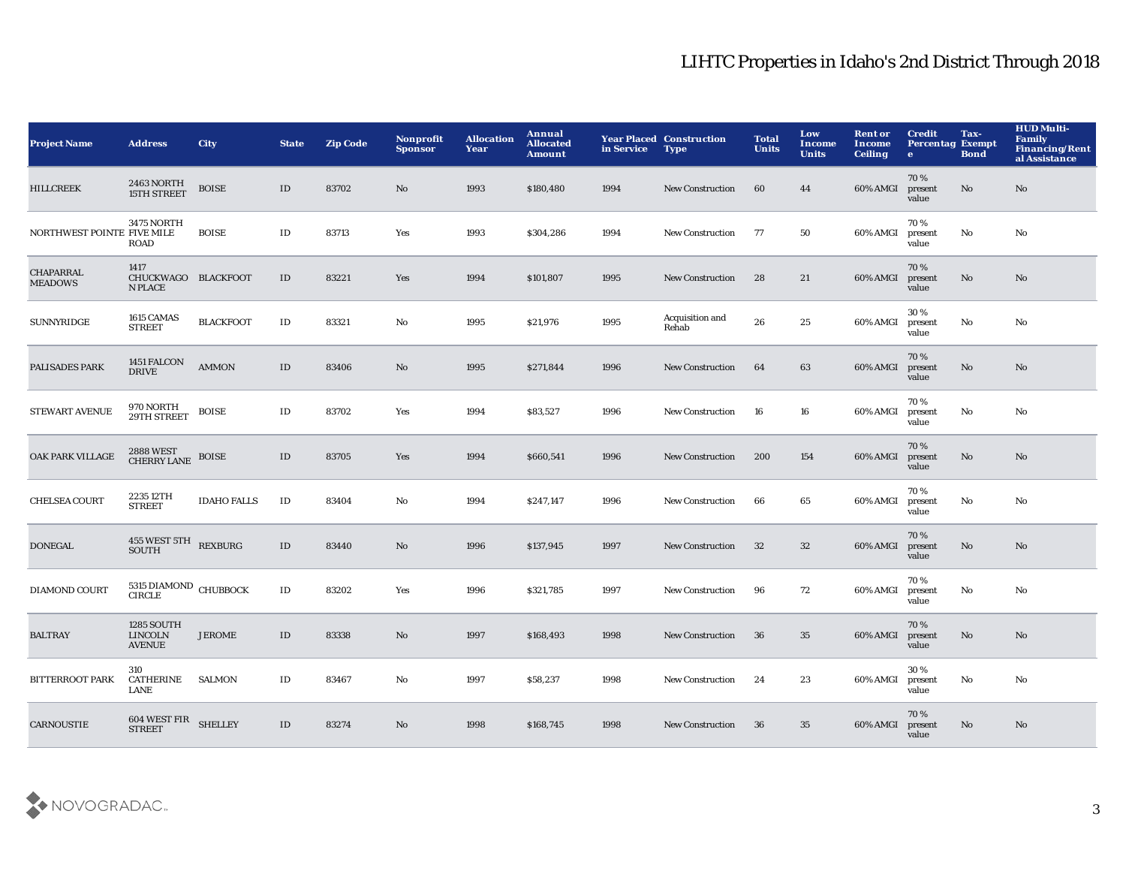| <b>Project Name</b>                | <b>Address</b>                                       | <b>City</b>        | <b>State</b>  | <b>Zip Code</b> | Nonprofit<br><b>Sponsor</b> | <b>Allocation</b><br>Year | Annual<br><b>Allocated</b><br><b>Amount</b> | in Service | <b>Year Placed Construction</b><br><b>Type</b> | <b>Total</b><br><b>Units</b> | Low<br>Income<br><b>Units</b> | <b>Rent or</b><br><b>Income</b><br><b>Ceiling</b> | <b>Credit</b><br><b>Percentag Exempt</b><br>$\bullet$ | Tax-<br><b>Bond</b> | <b>HUD Multi-</b><br>Family<br><b>Financing/Rent</b><br>al Assistance |
|------------------------------------|------------------------------------------------------|--------------------|---------------|-----------------|-----------------------------|---------------------------|---------------------------------------------|------------|------------------------------------------------|------------------------------|-------------------------------|---------------------------------------------------|-------------------------------------------------------|---------------------|-----------------------------------------------------------------------|
| <b>HILLCREEK</b>                   | 2463 NORTH<br><b>15TH STREET</b>                     | <b>BOISE</b>       | $\mathbf{ID}$ | 83702           | No                          | 1993                      | \$180,480                                   | 1994       | <b>New Construction</b>                        | 60                           | 44                            | 60% AMGI                                          | 70%<br>present<br>value                               | No                  | $\mathbf{N}\mathbf{o}$                                                |
| NORTHWEST POINTE FIVE MILE         | <b>3475 NORTH</b><br><b>ROAD</b>                     | <b>BOISE</b>       | $\mathbf{ID}$ | 83713           | Yes                         | 1993                      | \$304,286                                   | 1994       | <b>New Construction</b>                        | 77                           | 50                            | 60% AMGI                                          | 70%<br>present<br>value                               | No                  | No                                                                    |
| <b>CHAPARRAL</b><br><b>MEADOWS</b> | 1417<br>CHUCKWAGO BLACKFOOT<br><b>N PLACE</b>        |                    | ID            | 83221           | Yes                         | 1994                      | \$101,807                                   | 1995       | <b>New Construction</b>                        | 28                           | 21                            | 60% AMGI                                          | 70%<br>present<br>value                               | No                  | No                                                                    |
| <b>SUNNYRIDGE</b>                  | 1615 CAMAS<br><b>STREET</b>                          | <b>BLACKFOOT</b>   | $\mathbf{ID}$ | 83321           | No                          | 1995                      | \$21,976                                    | 1995       | Acquisition and<br>Rehab                       | 26                           | 25                            | 60% AMGI                                          | 30%<br>present<br>value                               | No                  | No                                                                    |
| PALISADES PARK                     | 1451 FALCON<br><b>DRIVE</b>                          | <b>AMMON</b>       | $\mathbf{ID}$ | 83406           | No                          | 1995                      | \$271,844                                   | 1996       | <b>New Construction</b>                        | 64                           | 63                            | 60% AMGI                                          | 70%<br>present<br>value                               | No                  | No                                                                    |
| <b>STEWART AVENUE</b>              | 970 NORTH<br>29TH STREET                             | <b>BOISE</b>       | ID            | 83702           | Yes                         | 1994                      | \$83,527                                    | 1996       | <b>New Construction</b>                        | 16                           | 16                            | 60% AMGI                                          | 70%<br>present<br>value                               | No                  | No                                                                    |
| OAK PARK VILLAGE                   | 2888 WEST<br>CHERRY LANE                             | <b>BOISE</b>       | ID            | 83705           | Yes                         | 1994                      | \$660,541                                   | 1996       | <b>New Construction</b>                        | 200                          | 154                           | 60% AMGI                                          | 70%<br>present<br>value                               | No                  | No                                                                    |
| <b>CHELSEA COURT</b>               | 2235 12TH<br><b>STREET</b>                           | <b>IDAHO FALLS</b> | $\rm ID$      | 83404           | No                          | 1994                      | \$247,147                                   | 1996       | <b>New Construction</b>                        | 66                           | 65                            | 60% AMGI                                          | 70%<br>present<br>value                               | No                  | No                                                                    |
| <b>DONEGAL</b>                     | 455 WEST 5TH REXBURG<br><b>SOUTH</b>                 |                    | $\mathbf{ID}$ | 83440           | No                          | 1996                      | \$137,945                                   | 1997       | <b>New Construction</b>                        | 32                           | 32                            | 60% AMGI                                          | 70%<br>present<br>value                               | No                  | No                                                                    |
| <b>DIAMOND COURT</b>               | 5315 DIAMOND CHUBBOCK<br><b>CIRCLE</b>               |                    | $\rm ID$      | 83202           | Yes                         | 1996                      | \$321,785                                   | 1997       | <b>New Construction</b>                        | 96                           | 72                            | 60% AMGI                                          | 70%<br>present<br>value                               | No                  | No                                                                    |
| <b>BALTRAY</b>                     | <b>1285 SOUTH</b><br><b>LINCOLN</b><br><b>AVENUE</b> | <b>JEROME</b>      | $\mathbf{ID}$ | 83338           | No                          | 1997                      | \$168,493                                   | 1998       | New Construction                               | 36                           | 35                            | 60% AMGI                                          | 70%<br>present<br>value                               | No                  | No                                                                    |
| <b>BITTERROOT PARK</b>             | 310<br>CATHERINE<br>LANE                             | <b>SALMON</b>      | ID            | 83467           | No                          | 1997                      | \$58,237                                    | 1998       | <b>New Construction</b>                        | 24                           | 23                            | 60% AMGI                                          | 30%<br>present<br>value                               | No                  | No                                                                    |
| <b>CARNOUSTIE</b>                  | $604\text{ WEST FIR}$ SHELLEY STREET                 |                    | $\mathbf{ID}$ | 83274           | N <sub>o</sub>              | 1998                      | \$168,745                                   | 1998       | <b>New Construction</b>                        | 36                           | 35                            | 60% AMGI                                          | 70%<br>present<br>value                               | No                  | No                                                                    |

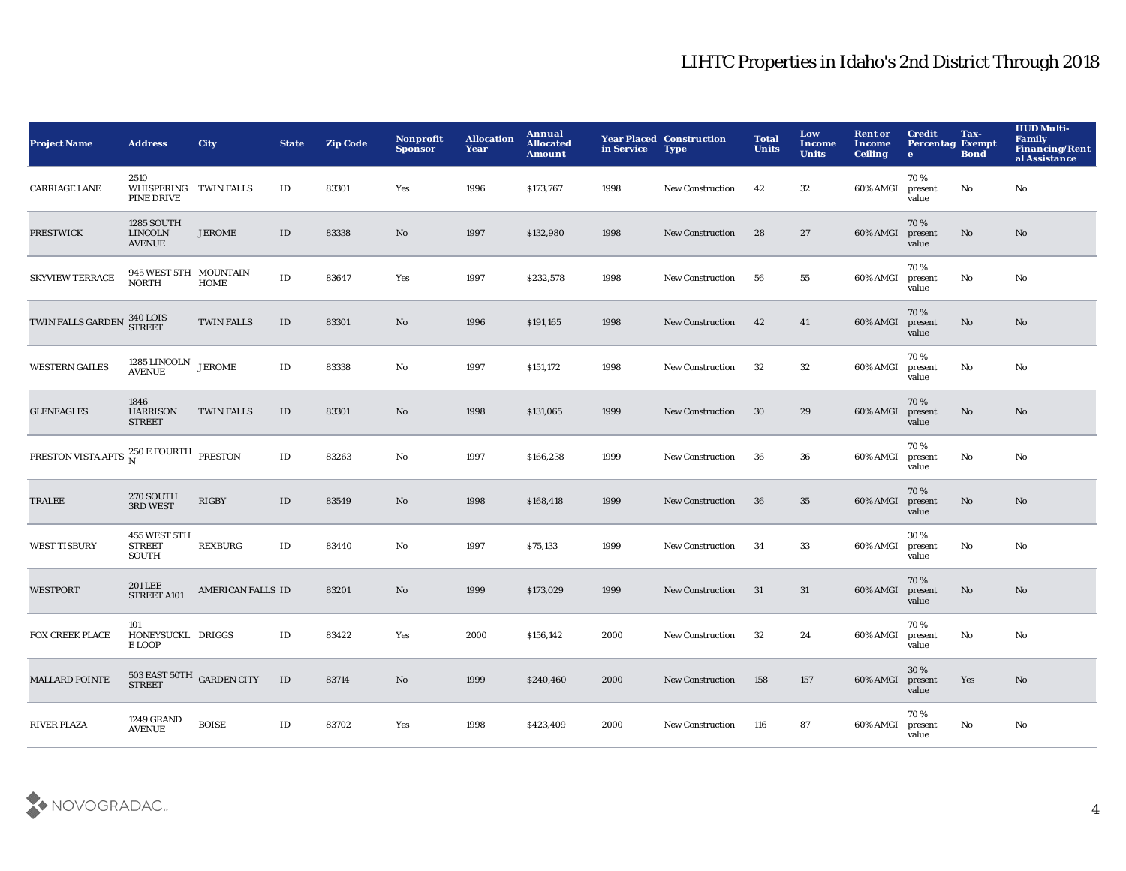| <b>Project Name</b>                                                          | <b>Address</b>                                       | <b>City</b>                                        | <b>State</b>  | <b>Zip Code</b> | <b>Nonprofit</b><br><b>Sponsor</b> | <b>Allocation</b><br>Year | <b>Annual</b><br><b>Allocated</b><br><b>Amount</b> | in Service | <b>Year Placed Construction</b><br><b>Type</b> | <b>Total</b><br><b>Units</b> | Low<br>Income<br><b>Units</b> | <b>Rent or</b><br><b>Income</b><br><b>Ceiling</b> | <b>Credit</b><br><b>Percentag Exempt</b><br>$\mathbf{e}$ | Tax-<br><b>Bond</b> | <b>HUD Multi-</b><br>Family<br><b>Financing/Rent</b><br>al Assistance |
|------------------------------------------------------------------------------|------------------------------------------------------|----------------------------------------------------|---------------|-----------------|------------------------------------|---------------------------|----------------------------------------------------|------------|------------------------------------------------|------------------------------|-------------------------------|---------------------------------------------------|----------------------------------------------------------|---------------------|-----------------------------------------------------------------------|
| <b>CARRIAGE LANE</b>                                                         | 2510<br>WHISPERING TWIN FALLS<br>PINE DRIVE          |                                                    | ID            | 83301           | Yes                                | 1996                      | \$173,767                                          | 1998       | New Construction                               | 42                           | $32\,$                        | 60% AMGI                                          | 70%<br>present<br>value                                  | No                  | No                                                                    |
| <b>PRESTWICK</b>                                                             | <b>1285 SOUTH</b><br><b>LINCOLN</b><br><b>AVENUE</b> | <b>JEROME</b>                                      | $\mathbf{ID}$ | 83338           | $\rm No$                           | 1997                      | \$132,980                                          | 1998       | <b>New Construction</b>                        | 28                           | $\bf 27$                      | 60% AMGI                                          | 70 %<br>present<br>value                                 | $\mathbf{No}$       | No                                                                    |
| <b>SKYVIEW TERRACE</b>                                                       | 945 WEST 5TH MOUNTAIN<br><b>NORTH</b>                | HOME                                               | $\rm ID$      | 83647           | Yes                                | 1997                      | \$232,578                                          | 1998       | <b>New Construction</b>                        | 56                           | 55                            | 60% AMGI                                          | 70 %<br>present<br>value                                 | No                  | No                                                                    |
| TWIN FALLS GARDEN                                                            | <b>340 LOIS</b><br><b>STREET</b>                     | <b>TWIN FALLS</b>                                  | $\rm ID$      | 83301           | No                                 | 1996                      | \$191,165                                          | 1998       | <b>New Construction</b>                        | 42                           | 41                            | 60% AMGI                                          | 70%<br>present<br>value                                  | No                  | No                                                                    |
| <b>WESTERN GAILES</b>                                                        | $1285$ LINCOLN $\,$ JEROME AVENUE                    |                                                    | $\rm ID$      | 83338           | No                                 | 1997                      | \$151,172                                          | 1998       | <b>New Construction</b>                        | 32                           | 32                            | 60% AMGI                                          | 70%<br>present<br>value                                  | No                  | No                                                                    |
| <b>GLENEAGLES</b>                                                            | 1846<br><b>HARRISON</b><br><b>STREET</b>             | <b>TWIN FALLS</b>                                  | $\mathbf{ID}$ | 83301           | No                                 | 1998                      | \$131,065                                          | 1999       | <b>New Construction</b>                        | 30                           | 29                            | 60% AMGI                                          | 70%<br>present<br>value                                  | No                  | No                                                                    |
| PRESTON VISTA APTS $\frac{250 \text{ E} \, \text{FOURTH}}{\text{N}}$ PRESTON |                                                      |                                                    | $\rm ID$      | 83263           | $\rm No$                           | 1997                      | \$166,238                                          | 1999       | <b>New Construction</b>                        | 36                           | 36                            | 60% AMGI                                          | 70%<br>present<br>value                                  | $\mathbf {No}$      | No                                                                    |
| <b>TRALEE</b>                                                                | 270 SOUTH<br>3RD WEST                                | <b>RIGBY</b>                                       | $\rm ID$      | 83549           | $\mathbf{N}\mathbf{o}$             | 1998                      | \$168,418                                          | 1999       | <b>New Construction</b>                        | 36                           | 35                            | 60% AMGI                                          | 70%<br>present<br>value                                  | $\mathbf{No}$       | No                                                                    |
| <b>WEST TISBURY</b>                                                          | 455 WEST 5TH<br><b>STREET</b><br>SOUTH               | <b>REXBURG</b>                                     | $\mathbf{ID}$ | 83440           | No                                 | 1997                      | \$75,133                                           | 1999       | <b>New Construction</b>                        | 34                           | 33                            | 60% AMGI                                          | 30%<br>present<br>value                                  | No                  | No                                                                    |
| <b>WESTPORT</b>                                                              | <b>201 LEE</b><br>STREET A101                        | AMERICAN FALLS ID                                  |               | 83201           | $\mathbf{N}\mathbf{o}$             | 1999                      | \$173,029                                          | 1999       | <b>New Construction</b>                        | 31                           | 31                            | 60% AMGI                                          | 70%<br>present<br>value                                  | $\mathbf{No}$       | No                                                                    |
| <b>FOX CREEK PLACE</b>                                                       | 101<br>HONEYSUCKL DRIGGS<br>E LOOP                   |                                                    | $\rm ID$      | 83422           | Yes                                | 2000                      | \$156,142                                          | 2000       | New Construction                               | 32                           | 24                            | 60% AMGI                                          | 70%<br>present<br>value                                  | No                  | No                                                                    |
| <b>MALLARD POINTE</b>                                                        |                                                      | $503$ EAST $50\mathrm{TH}$ $\,$ GARDEN CITY STREET | ID            | 83714           | $\mathbf{N}\mathbf{o}$             | 1999                      | \$240,460                                          | 2000       | <b>New Construction</b>                        | 158                          | 157                           | 60% AMGI                                          | 30%<br>present<br>value                                  | Yes                 | No                                                                    |
| <b>RIVER PLAZA</b>                                                           | 1249 GRAND<br><b>AVENUE</b>                          | <b>BOISE</b>                                       | $\mathbf{ID}$ | 83702           | Yes                                | 1998                      | \$423,409                                          | 2000       | <b>New Construction</b>                        | 116                          | 87                            | 60% AMGI                                          | 70%<br>present<br>value                                  | No                  | No                                                                    |

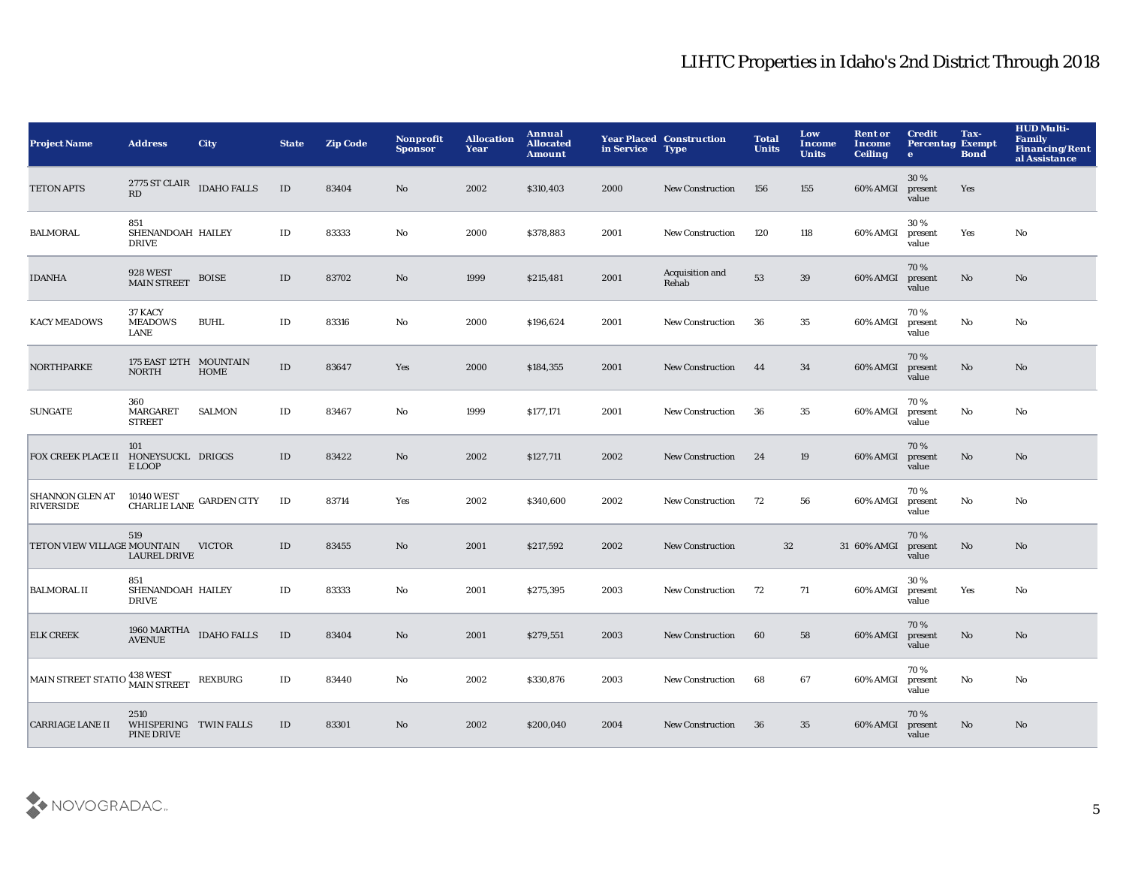| <b>Project Name</b>                        | <b>Address</b>                                  | <b>City</b>    | <b>State</b>  | <b>Zip Code</b> | <b>Nonprofit</b><br><b>Sponsor</b> | <b>Allocation</b><br>Year | <b>Annual</b><br><b>Allocated</b><br><b>Amount</b> | in Service | <b>Year Placed Construction</b><br><b>Type</b> | <b>Total</b><br><b>Units</b> | Low<br><b>Income</b><br><b>Units</b> | <b>Rent or</b><br><b>Income</b><br><b>Ceiling</b> | <b>Credit</b><br><b>Percentag Exempt</b><br>$\bullet$ | Tax-<br><b>Bond</b> | <b>HUD Multi-</b><br><b>Family</b><br>Financing/Rent<br>al Assistance |
|--------------------------------------------|-------------------------------------------------|----------------|---------------|-----------------|------------------------------------|---------------------------|----------------------------------------------------|------------|------------------------------------------------|------------------------------|--------------------------------------|---------------------------------------------------|-------------------------------------------------------|---------------------|-----------------------------------------------------------------------|
| <b>TETON APTS</b>                          | $2775\,$ ST CLAIR $\quad$ IDAHO FALLS<br>RD     |                | ID            | 83404           | No                                 | 2002                      | \$310,403                                          | 2000       | <b>New Construction</b>                        | 156                          | 155                                  | 60% AMGI                                          | 30%<br>present<br>value                               | Yes                 |                                                                       |
| <b>BALMORAL</b>                            | 851<br>SHENANDOAH HAILEY<br><b>DRIVE</b>        |                | $\mathbf{ID}$ | 83333           | $\mathbf {No}$                     | 2000                      | \$378,883                                          | 2001       | <b>New Construction</b>                        | 120                          | 118                                  | 60% AMGI                                          | 30 %<br>present<br>value                              | Yes                 | No                                                                    |
| <b>IDANHA</b>                              | <b>928 WEST</b><br><b>MAIN STREET</b>           | <b>BOISE</b>   | $\rm ID$      | 83702           | $\mathbf{N}\mathbf{o}$             | 1999                      | \$215,481                                          | 2001       | Acquisition and<br>Rehab                       | 53                           | 39                                   | 60% AMGI                                          | 70%<br>present<br>value                               | No                  | $\mathbf{N}\mathbf{o}$                                                |
| <b>KACY MEADOWS</b>                        | 37 KACY<br><b>MEADOWS</b><br>LANE               | <b>BUHL</b>    | $\mathbf{ID}$ | 83316           | $\rm No$                           | 2000                      | \$196,624                                          | 2001       | <b>New Construction</b>                        | 36                           | 35                                   | 60% AMGI                                          | 70%<br>present<br>value                               | No                  | No                                                                    |
| <b>NORTHPARKE</b>                          | 175 EAST 12TH MOUNTAIN<br><b>NORTH</b>          | <b>HOME</b>    | $\mathbf{ID}$ | 83647           | Yes                                | 2000                      | \$184,355                                          | 2001       | New Construction                               | 44                           | 34                                   | 60% AMGI                                          | 70%<br>present<br>value                               | No                  | $\mathbf{N}\mathbf{o}$                                                |
| <b>SUNGATE</b>                             | 360<br>MARGARET<br><b>STREET</b>                | <b>SALMON</b>  | $\rm ID$      | 83467           | No                                 | 1999                      | \$177,171                                          | 2001       | New Construction                               | 36                           | 35                                   | 60% AMGI                                          | 70%<br>present<br>value                               | No                  | No                                                                    |
| FOX CREEK PLACE II                         | 101<br>HONEYSUCKL DRIGGS<br>E LOOP              |                | $\rm ID$      | 83422           | $\mathbf{N}\mathbf{o}$             | 2002                      | \$127,711                                          | 2002       | <b>New Construction</b>                        | 24                           | 19                                   | 60% AMGI                                          | 70%<br>present<br>value                               | No                  | $\mathbf{N}\mathbf{o}$                                                |
| <b>SHANNON GLEN AT</b><br><b>RIVERSIDE</b> | 10140 WEST GARDEN CITY CHARLIE LANE GARDEN CITY |                | $\rm ID$      | 83714           | Yes                                | 2002                      | \$340,600                                          | 2002       | New Construction                               | 72                           | 56                                   | 60% AMGI                                          | 70%<br>present<br>value                               | No                  | No                                                                    |
| TETON VIEW VILLAGE MOUNTAIN                | 519<br><b>LAUREL DRIVE</b>                      | <b>VICTOR</b>  | $\rm ID$      | 83455           | $\mathbf{N}\mathbf{o}$             | 2001                      | \$217,592                                          | 2002       | <b>New Construction</b>                        | 32                           |                                      | 31 60% AMGI                                       | 70%<br>present<br>value                               | No                  | No                                                                    |
| <b>BALMORAL II</b>                         | 851<br>SHENANDOAH HAILEY<br><b>DRIVE</b>        |                | $\mathbf{ID}$ | 83333           | No                                 | 2001                      | \$275,395                                          | 2003       | New Construction                               | 72                           | 71                                   | 60% AMGI                                          | 30 %<br>present<br>value                              | Yes                 | No                                                                    |
| <b>ELK CREEK</b>                           | $1960\,{\rm MARTHA} \quad$ IDAHO FALLS AVENUE   |                | $\rm ID$      | 83404           | No                                 | 2001                      | \$279,551                                          | 2003       | <b>New Construction</b>                        | 60                           | 58                                   | 60% AMGI                                          | 70%<br>present<br>value                               | No                  | No.                                                                   |
| MAIN STREET STATIO 438 WEST                |                                                 | <b>REXBURG</b> | $\rm ID$      | 83440           | No                                 | 2002                      | \$330,876                                          | 2003       | <b>New Construction</b>                        | 68                           | 67                                   | 60% AMGI                                          | 70%<br>present<br>value                               | No                  | No                                                                    |
| <b>CARRIAGE LANE II</b>                    | 2510<br>WHISPERING TWIN FALLS<br>PINE DRIVE     |                | $\rm ID$      | 83301           | No                                 | 2002                      | \$200,040                                          | 2004       | <b>New Construction</b>                        | 36                           | 35                                   | 60% AMGI                                          | 70%<br>present<br>value                               | No.                 | No.                                                                   |

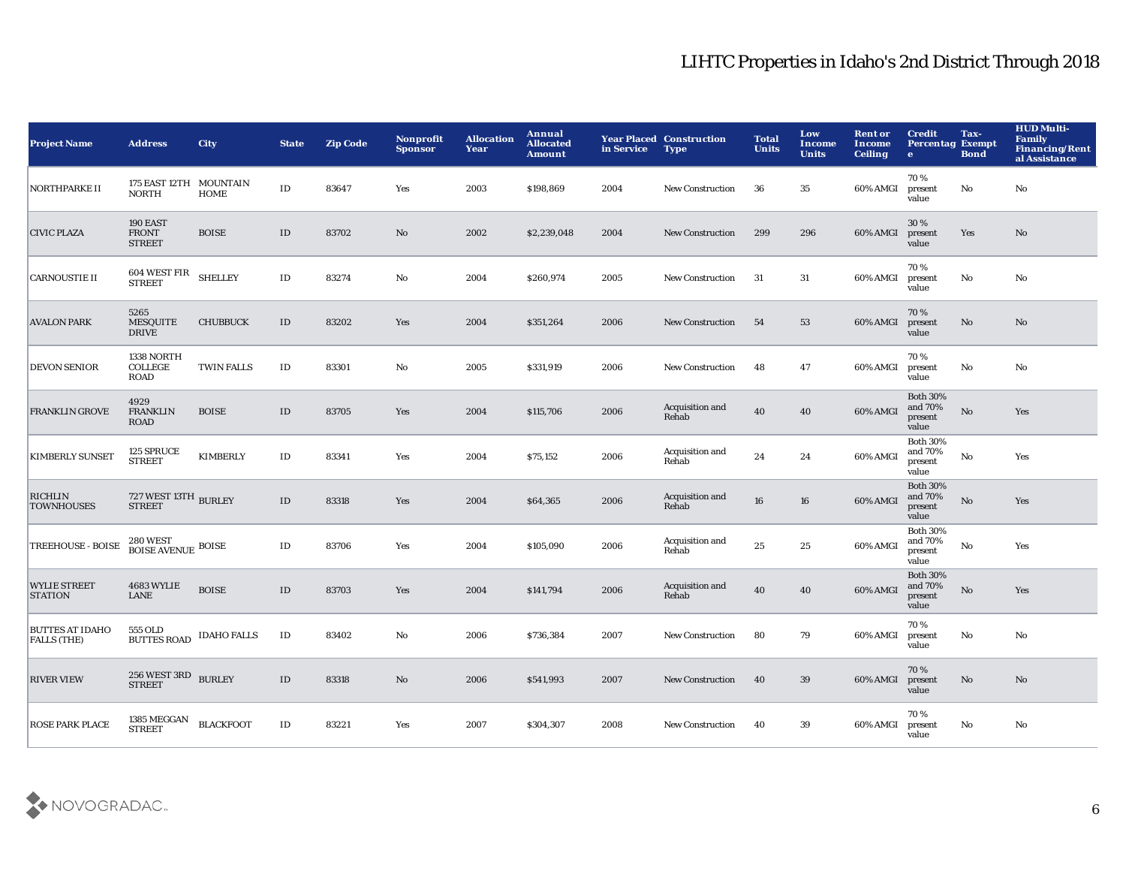| <b>Project Name</b>                          | <b>Address</b>                                            | <b>City</b>        | <b>State</b>  | <b>Zip Code</b> | <b>Nonprofit</b><br><b>Sponsor</b> | <b>Allocation</b><br>Year | Annual<br><b>Allocated</b><br><b>Amount</b> | in Service | <b>Year Placed Construction</b><br><b>Type</b> | <b>Total</b><br><b>Units</b> | Low<br><b>Income</b><br><b>Units</b> | <b>Rent or</b><br><b>Income</b><br><b>Ceiling</b> | <b>Credit</b><br><b>Percentag Exempt</b><br>$\mathbf{e}$ | Tax-<br><b>Bond</b>    | <b>HUD Multi-</b><br><b>Family</b><br><b>Financing/Rent</b><br>al Assistance |
|----------------------------------------------|-----------------------------------------------------------|--------------------|---------------|-----------------|------------------------------------|---------------------------|---------------------------------------------|------------|------------------------------------------------|------------------------------|--------------------------------------|---------------------------------------------------|----------------------------------------------------------|------------------------|------------------------------------------------------------------------------|
| <b>NORTHPARKE II</b>                         | 175 EAST 12TH MOUNTAIN<br><b>NORTH</b>                    | <b>HOME</b>        | $\rm ID$      | 83647           | Yes                                | 2003                      | \$198,869                                   | 2004       | <b>New Construction</b>                        | 36                           | 35                                   | 60% AMGI                                          | 70%<br>present<br>value                                  | No                     | No                                                                           |
| <b>CIVIC PLAZA</b>                           | 190 EAST<br><b>FRONT</b><br><b>STREET</b>                 | <b>BOISE</b>       | $\rm ID$      | 83702           | $\mathbf{No}$                      | 2002                      | \$2,239,048                                 | 2004       | <b>New Construction</b>                        | 299                          | 296                                  | 60% AMGI                                          | 30 %<br>present<br>value                                 | Yes                    | No                                                                           |
| <b>CARNOUSTIE II</b>                         | 604 WEST FIR<br>STREET                                    | <b>SHELLEY</b>     | $\rm ID$      | 83274           | $\mathbf {No}$                     | 2004                      | \$260,974                                   | 2005       | <b>New Construction</b>                        | 31                           | 31                                   | 60% AMGI                                          | 70%<br>present<br>value                                  | No                     | No                                                                           |
| <b>AVALON PARK</b>                           | 5265<br><b>MESQUITE</b><br><b>DRIVE</b>                   | <b>CHUBBUCK</b>    | ID            | 83202           | Yes                                | 2004                      | \$351,264                                   | 2006       | <b>New Construction</b>                        | 54                           | 53                                   | 60% AMGI                                          | 70%<br>present<br>value                                  | No                     | No                                                                           |
| <b>DEVON SENIOR</b>                          | 1338 NORTH<br><b>COLLEGE</b><br><b>ROAD</b>               | <b>TWIN FALLS</b>  | $\rm ID$      | 83301           | No                                 | 2005                      | \$331,919                                   | 2006       | <b>New Construction</b>                        | 48                           | 47                                   | 60% AMGI                                          | 70%<br>present<br>value                                  | No                     | No                                                                           |
| <b>FRANKLIN GROVE</b>                        | 4929<br><b>FRANKLIN</b><br><b>ROAD</b>                    | <b>BOISE</b>       | ID            | 83705           | Yes                                | 2004                      | \$115,706                                   | 2006       | Acquisition and<br>Rehab                       | 40                           | 40                                   | 60% AMGI                                          | <b>Both 30%</b><br>and 70%<br>present<br>value           | $\mathbf {No}$         | Yes                                                                          |
| <b>KIMBERLY SUNSET</b>                       | 125 SPRUCE<br><b>STREET</b>                               | <b>KIMBERLY</b>    | $\rm ID$      | 83341           | Yes                                | 2004                      | \$75,152                                    | 2006       | Acquisition and<br>Rehab                       | 24                           | 24                                   | 60% AMGI                                          | <b>Both 30%</b><br>and 70%<br>present<br>value           | $\mathbf {No}$         | Yes                                                                          |
| <b>RICHLIN</b><br><b>TOWNHOUSES</b>          | $727\, \rm{WEST}$ $13 \rm{TH}$ $\rm{BURLEY}$ $\rm{STREF}$ |                    | $\rm ID$      | 83318           | Yes                                | 2004                      | \$64,365                                    | 2006       | Acquisition and<br>Rehab                       | 16                           | 16                                   | 60% AMGI                                          | <b>Both 30%</b><br>and 70%<br>present<br>value           | $\mathbf{N}\mathbf{o}$ | Yes                                                                          |
| TREEHOUSE - BOISE                            | $280\, \rm{WEST}$ BOISE AVENUE $\rm{BOISE}$               |                    | ID            | 83706           | Yes                                | 2004                      | \$105,090                                   | 2006       | Acquisition and<br>Rehab                       | 25                           | 25                                   | 60% AMGI                                          | <b>Both 30%</b><br>and 70%<br>present<br>value           | No                     | Yes                                                                          |
| <b>WYLIE STREET</b><br><b>STATION</b>        | <b>4683 WYLIE</b><br><b>LANE</b>                          | <b>BOISE</b>       | $\mathbf{ID}$ | 83703           | Yes                                | 2004                      | \$141,794                                   | 2006       | Acquisition and<br>Rehab                       | 40                           | 40                                   | 60% AMGI                                          | <b>Both 30%</b><br>and 70%<br>present<br>value           | $\mathbf {No}$         | Yes                                                                          |
| <b>BUTTES AT IDAHO</b><br><b>FALLS (THE)</b> | 555 OLD<br><b>BUTTES ROAD</b>                             | <b>IDAHO FALLS</b> | $\rm ID$      | 83402           | No                                 | 2006                      | \$736,384                                   | 2007       | <b>New Construction</b>                        | 80                           | 79                                   | 60% AMGI                                          | 70%<br>present<br>value                                  | No                     | No                                                                           |
| <b>RIVER VIEW</b>                            | <b>256 WEST 3RD</b><br><b>STREET</b>                      | <b>BURLEY</b>      | ID            | 83318           | No                                 | 2006                      | \$541,993                                   | 2007       | <b>New Construction</b>                        | 40                           | 39                                   | 60% AMGI                                          | 70%<br>present<br>value                                  | $\mathbf{N}\mathbf{o}$ | No                                                                           |
| <b>ROSE PARK PLACE</b>                       | 1385 MEGGAN<br><b>STREET</b>                              | <b>BLACKFOOT</b>   | ID            | 83221           | Yes                                | 2007                      | \$304,307                                   | 2008       | <b>New Construction</b>                        | 40                           | 39                                   | 60% AMGI                                          | 70%<br>present<br>value                                  | No                     | No                                                                           |

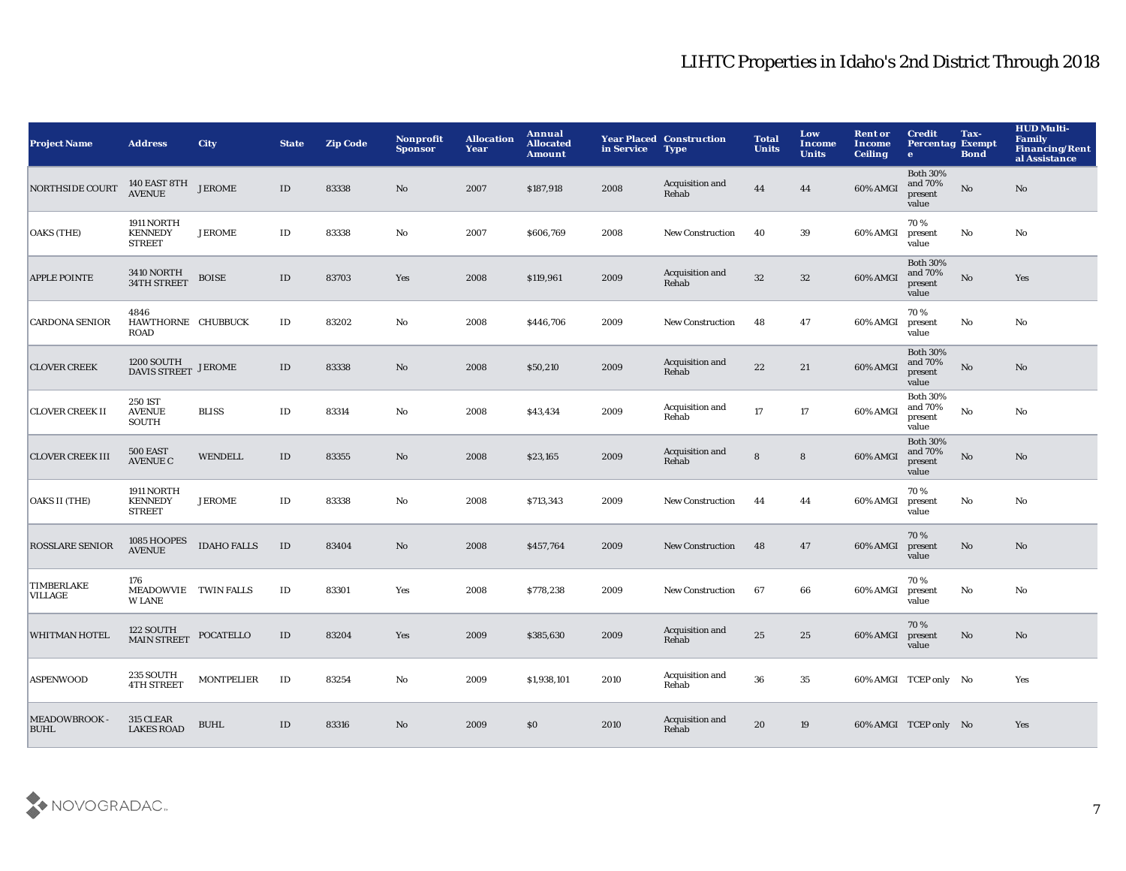| <b>Project Name</b>                 | <b>Address</b>                                | <b>City</b>        | <b>State</b> | <b>Zip Code</b> | <b>Nonprofit</b><br><b>Sponsor</b> | <b>Allocation</b><br>Year | Annual<br><b>Allocated</b><br><b>Amount</b> | in Service | <b>Year Placed Construction</b><br><b>Type</b> | <b>Total</b><br><b>Units</b> | Low<br>Income<br><b>Units</b> | <b>Rent or</b><br>Income<br><b>Ceiling</b> | <b>Credit</b><br><b>Percentag Exempt</b><br>$\bullet$ | Tax-<br><b>Bond</b> | <b>HUD Multi-</b><br><b>Family</b><br><b>Financing/Rent</b><br>al Assistance |
|-------------------------------------|-----------------------------------------------|--------------------|--------------|-----------------|------------------------------------|---------------------------|---------------------------------------------|------------|------------------------------------------------|------------------------------|-------------------------------|--------------------------------------------|-------------------------------------------------------|---------------------|------------------------------------------------------------------------------|
| <b>NORTHSIDE COURT</b>              | 140 EAST 8TH<br>AVENUE                        | <b>JEROME</b>      | ID           | 83338           | No                                 | 2007                      | \$187,918                                   | 2008       | Acquisition and<br>Rehab                       | 44                           | 44                            | 60% AMGI                                   | <b>Both 30%</b><br>and 70%<br>present<br>value        | No                  | No                                                                           |
| <b>OAKS</b> (THE)                   | 1911 NORTH<br><b>KENNEDY</b><br><b>STREET</b> | <b>JEROME</b>      | ID           | 83338           | $\mathbf{No}$                      | 2007                      | \$606,769                                   | 2008       | New Construction                               | 40                           | 39                            | 60% AMGI                                   | 70%<br>present<br>value                               | No                  | No                                                                           |
| <b>APPLE POINTE</b>                 | 3410 NORTH<br>34TH STREET                     | <b>BOISE</b>       | $\rm ID$     | 83703           | Yes                                | 2008                      | \$119,961                                   | 2009       | Acquisition and<br>Rehab                       | 32                           | $32\,$                        | 60% AMGI                                   | <b>Both 30%</b><br>and 70%<br>present<br>value        | No                  | Yes                                                                          |
| <b>CARDONA SENIOR</b>               | 4846<br>HAWTHORNE CHUBBUCK<br><b>ROAD</b>     |                    | $\rm ID$     | 83202           | No                                 | 2008                      | \$446,706                                   | 2009       | <b>New Construction</b>                        | 48                           | 47                            | 60% AMGI                                   | 70%<br>present<br>value                               | No                  | No                                                                           |
| <b>CLOVER CREEK</b>                 | $1200$ SOUTH DAVIS STREET JEROME              |                    | $\rm ID$     | 83338           | $\mathbf{No}$                      | 2008                      | \$50,210                                    | 2009       | Acquisition and<br>Rehab                       | 22                           | 21                            | 60% AMGI                                   | <b>Both 30%</b><br>and 70%<br>present<br>value        | ${\bf No}$          | No                                                                           |
| <b>CLOVER CREEK II</b>              | 250 IST<br><b>AVENUE</b><br><b>SOUTH</b>      | <b>BLISS</b>       | $\rm ID$     | 83314           | No                                 | 2008                      | \$43,434                                    | 2009       | Acquisition and<br>Rehab                       | 17                           | 17                            | 60% AMGI                                   | <b>Both 30%</b><br>and 70%<br>present<br>value        | $\mathbf {No}$      | No                                                                           |
| <b>CLOVER CREEK III</b>             | 500 EAST<br><b>AVENUE C</b>                   | <b>WENDELL</b>     | $\rm ID$     | 83355           | No                                 | 2008                      | \$23,165                                    | 2009       | Acquisition and<br>Rehab                       | ${\bf 8}$                    | $\bf8$                        | 60% AMGI                                   | <b>Both 30%</b><br>and 70%<br>present<br>value        | $\mathbf {No}$      | No                                                                           |
| <b>OAKS II (THE)</b>                | 1911 NORTH<br><b>KENNEDY</b><br><b>STREET</b> | <b>JEROME</b>      | $\rm ID$     | 83338           | No                                 | 2008                      | \$713,343                                   | 2009       | New Construction                               | 44                           | 44                            | 60% AMGI                                   | 70%<br>present<br>value                               | No                  | No                                                                           |
| <b>ROSSLARE SENIOR</b>              | 1085 HOOPES<br><b>AVENUE</b>                  | <b>IDAHO FALLS</b> | $\rm ID$     | 83404           | No                                 | 2008                      | \$457,764                                   | 2009       | New Construction                               | 48                           | 47                            | 60% AMGI                                   | 70%<br>present<br>value                               | No                  | $\mathbf{N}\mathbf{o}$                                                       |
| <b>TIMBERLAKE</b><br><b>VILLAGE</b> | 176<br>MEADOWVIE TWIN FALLS<br><b>W LANE</b>  |                    | $\rm ID$     | 83301           | Yes                                | 2008                      | \$778,238                                   | 2009       | <b>New Construction</b>                        | 67                           | 66                            | 60% AMGI                                   | 70%<br>present<br>value                               | No                  | No                                                                           |
| <b>WHITMAN HOTEL</b>                | 122 SOUTH<br>MAIN STREET                      | <b>POCATELLO</b>   | ID           | 83204           | Yes                                | 2009                      | \$385,630                                   | 2009       | Acquisition and<br>Rehab                       | 25                           | 25                            | 60% AMGI                                   | 70%<br>present<br>value                               | No                  | No                                                                           |
| <b>ASPENWOOD</b>                    | 235 SOUTH<br><b>4TH STREET</b>                | <b>MONTPELIER</b>  | ID           | 83254           | No                                 | 2009                      | \$1,938,101                                 | 2010       | Acquisition and<br>Rehab                       | 36                           | 35                            |                                            | 60% AMGI TCEP only No                                 |                     | Yes                                                                          |
| <b>MEADOWBROOK-</b><br><b>BUHL</b>  | 315 CLEAR<br><b>LAKES ROAD</b>                | <b>BUHL</b>        | ID           | 83316           | No                                 | 2009                      | \$0                                         | 2010       | Acquisition and<br>Rehab                       | 20                           | 19                            |                                            | 60% AMGI TCEP only No                                 |                     | Yes                                                                          |

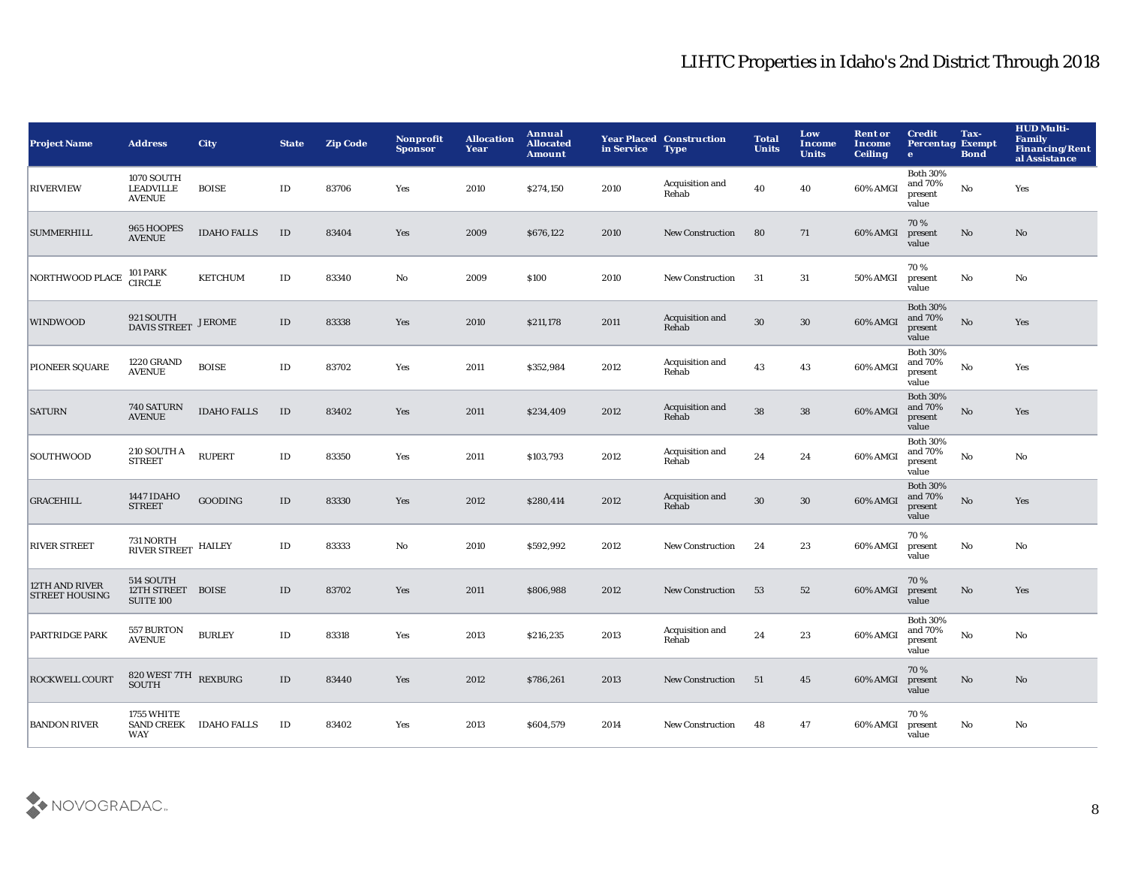| <b>Project Name</b>                     | <b>Address</b>                                     | <b>City</b>        | <b>State</b>  | <b>Zip Code</b> | <b>Nonprofit</b><br><b>Sponsor</b> | <b>Allocation</b><br>Year | Annual<br><b>Allocated</b><br><b>Amount</b> | in Service | <b>Year Placed Construction</b><br><b>Type</b> | <b>Total</b><br><b>Units</b> | Low<br><b>Income</b><br><b>Units</b> | <b>Rent or</b><br><b>Income</b><br><b>Ceiling</b> | <b>Credit</b><br><b>Percentag Exempt</b><br>$\bullet$ | Tax-<br><b>Bond</b>    | <b>HUD Multi-</b><br>Family<br><b>Financing/Rent</b><br>al Assistance |
|-----------------------------------------|----------------------------------------------------|--------------------|---------------|-----------------|------------------------------------|---------------------------|---------------------------------------------|------------|------------------------------------------------|------------------------------|--------------------------------------|---------------------------------------------------|-------------------------------------------------------|------------------------|-----------------------------------------------------------------------|
| <b>RIVERVIEW</b>                        | 1070 SOUTH<br><b>LEADVILLE</b><br><b>AVENUE</b>    | <b>BOISE</b>       | ID            | 83706           | Yes                                | 2010                      | \$274,150                                   | 2010       | Acquisition and<br>Rehab                       | 40                           | 40                                   | 60% AMGI                                          | <b>Both 30%</b><br>and 70%<br>present<br>value        | $\mathbf {No}$         | Yes                                                                   |
| <b>SUMMERHILL</b>                       | 965 HOOPES<br><b>AVENUE</b>                        | <b>IDAHO FALLS</b> | $\rm ID$      | 83404           | Yes                                | 2009                      | \$676,122                                   | 2010       | <b>New Construction</b>                        | 80                           | 71                                   | 60% AMGI                                          | 70%<br>present<br>value                               | No                     | No                                                                    |
| NORTHWOOD PLACE                         | 101 PARK<br>CIRCLE                                 | <b>KETCHUM</b>     | $\mathbf{ID}$ | 83340           | $\mathbf {No}$                     | 2009                      | \$100                                       | 2010       | <b>New Construction</b>                        | 31                           | 31                                   | 50% AMGI                                          | 70%<br>present<br>value                               | No                     | No                                                                    |
| <b>WINDWOOD</b>                         | 921 SOUTH<br><b>DAVIS STREET</b>                   | <b>JEROME</b>      | $\rm ID$      | 83338           | Yes                                | 2010                      | \$211,178                                   | 2011       | Acquisition and<br>Rehab                       | $30\,$                       | $30\,$                               | 60% AMGI                                          | <b>Both 30%</b><br>and 70%<br>present<br>value        | $\mathbf {No}$         | Yes                                                                   |
| PIONEER SQUARE                          | <b>1220 GRAND</b><br><b>AVENUE</b>                 | <b>BOISE</b>       | $\rm ID$      | 83702           | Yes                                | 2011                      | \$352,984                                   | 2012       | Acquisition and<br>Rehab                       | 43                           | 43                                   | 60% AMGI                                          | <b>Both 30%</b><br>and 70%<br>present<br>value        | $\mathbf {No}$         | Yes                                                                   |
| <b>SATURN</b>                           | <b>740 SATURN</b><br><b>AVENUE</b>                 | <b>IDAHO FALLS</b> | $\rm ID$      | 83402           | Yes                                | 2011                      | \$234,409                                   | 2012       | Acquisition and<br>Rehab                       | 38                           | 38                                   | 60% AMGI                                          | <b>Both 30%</b><br>and 70%<br>present<br>value        | No                     | Yes                                                                   |
| SOUTHWOOD                               | 210 SOUTH A<br><b>STREET</b>                       | <b>RUPERT</b>      | $\rm ID$      | 83350           | Yes                                | 2011                      | \$103,793                                   | 2012       | Acquisition and<br>Rehab                       | 24                           | 24                                   | 60% AMGI                                          | <b>Both 30%</b><br>and 70%<br>present<br>value        | No                     | No                                                                    |
| <b>GRACEHILL</b>                        | 1447 IDAHO<br><b>STREET</b>                        | <b>GOODING</b>     | $\rm ID$      | 83330           | Yes                                | 2012                      | \$280,414                                   | 2012       | Acquisition and<br>Rehab                       | $30\,$                       | 30                                   | 60% AMGI                                          | <b>Both 30%</b><br>and 70%<br>present<br>value        | $\mathbf{N}\mathbf{o}$ | Yes                                                                   |
| <b>RIVER STREET</b>                     | 731 NORTH<br>RIVER STREET HAILEY                   |                    | $\rm ID$      | 83333           | No                                 | 2010                      | \$592,992                                   | 2012       | New Construction                               | 24                           | 23                                   | 60% AMGI                                          | 70%<br>present<br>value                               | No                     | No                                                                    |
| 12TH AND RIVER<br><b>STREET HOUSING</b> | 514 SOUTH<br>12TH STREET BOISE<br><b>SUITE 100</b> |                    | $\mathbf{ID}$ | 83702           | Yes                                | 2011                      | \$806,988                                   | 2012       | <b>New Construction</b>                        | 53                           | 52                                   | 60% AMGI                                          | 70%<br>present<br>value                               | $\mathbf{No}$          | Yes                                                                   |
| PARTRIDGE PARK                          | 557 BURTON<br><b>AVENUE</b>                        | <b>BURLEY</b>      | $\rm ID$      | 83318           | Yes                                | 2013                      | \$216,235                                   | 2013       | Acquisition and<br>Rehab                       | 24                           | 23                                   | 60% AMGI                                          | <b>Both 30%</b><br>and 70%<br>present<br>value        | ${\bf No}$             | No                                                                    |
| <b>ROCKWELL COURT</b>                   | $820\, \rm{WEST}$ $7 \rm{TH}$ $~$ REXBURG SOUTH    |                    | ID            | 83440           | Yes                                | 2012                      | \$786,261                                   | 2013       | <b>New Construction</b>                        | 51                           | 45                                   | 60% AMGI                                          | 70%<br>present<br>value                               | No                     | $\mathbf{N}\mathbf{o}$                                                |
| <b>BANDON RIVER</b>                     | 1755 WHITE<br>SAND CREEK IDAHO FALLS<br><b>WAY</b> |                    | ID            | 83402           | Yes                                | 2013                      | \$604,579                                   | 2014       | <b>New Construction</b>                        | 48                           | 47                                   | 60% AMGI                                          | 70%<br>present<br>value                               | No                     | No                                                                    |

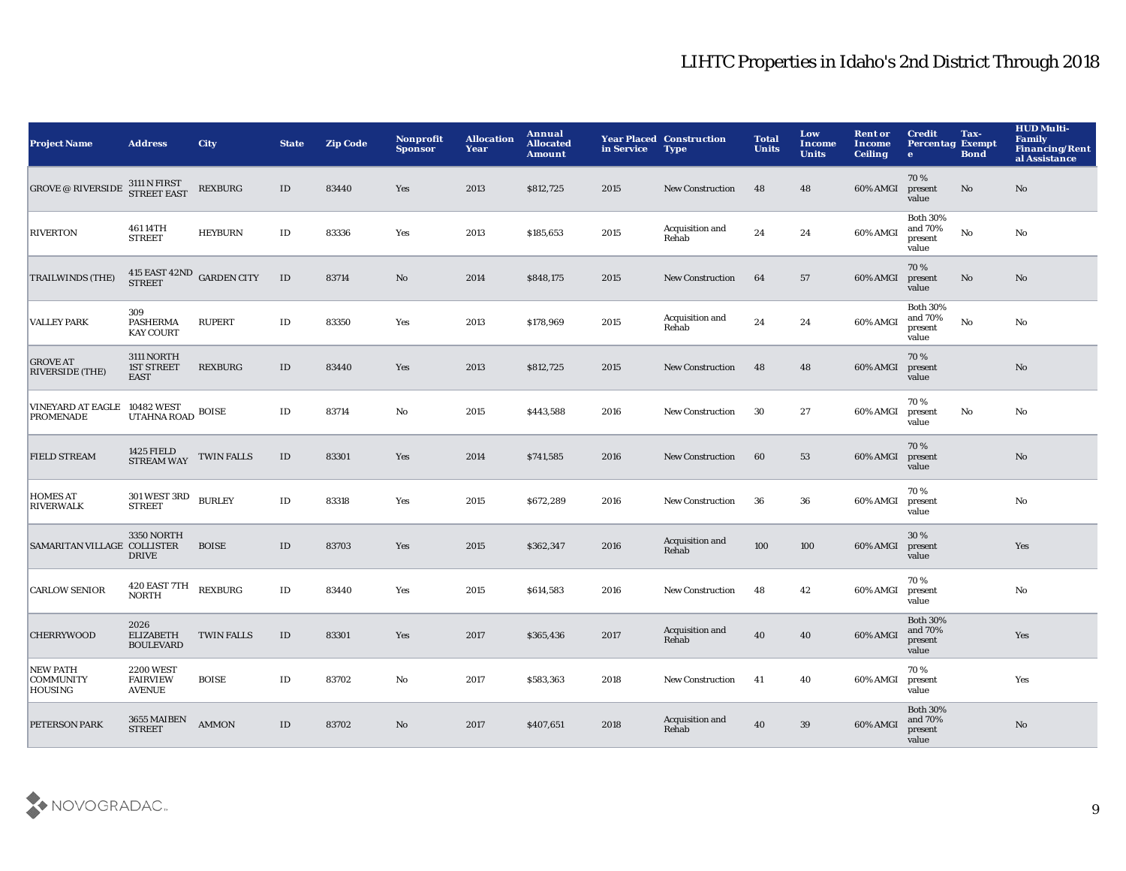| <b>Project Name</b>                              | <b>Address</b>                                                                  | <b>City</b>       | <b>State</b>  | <b>Zip Code</b> | <b>Nonprofit</b><br><b>Sponsor</b> | <b>Allocation</b><br>Year | Annual<br><b>Allocated</b><br><b>Amount</b> | in Service | <b>Year Placed Construction</b><br><b>Type</b> | <b>Total</b><br><b>Units</b> | Low<br><b>Income</b><br><b>Units</b> | <b>Rent or</b><br><b>Income</b><br><b>Ceiling</b> | <b>Credit</b><br><b>Percentag Exempt</b><br>$\bullet$ | Tax-<br><b>Bond</b> | <b>HUD Multi-</b><br><b>Family</b><br><b>Financing/Rent</b><br>al Assistance |
|--------------------------------------------------|---------------------------------------------------------------------------------|-------------------|---------------|-----------------|------------------------------------|---------------------------|---------------------------------------------|------------|------------------------------------------------|------------------------------|--------------------------------------|---------------------------------------------------|-------------------------------------------------------|---------------------|------------------------------------------------------------------------------|
| <b>GROVE @ RIVERSIDE</b>                         | 3111 N FIRST<br>STREET EAST                                                     | <b>REXBURG</b>    | ID            | 83440           | Yes                                | 2013                      | \$812,725                                   | 2015       | <b>New Construction</b>                        | 48                           | 48                                   | 60% AMGI                                          | 70%<br>present<br>value                               | No                  | No                                                                           |
| <b>RIVERTON</b>                                  | 461 14TH<br><b>STREET</b>                                                       | <b>HEYBURN</b>    | $\rm ID$      | 83336           | Yes                                | 2013                      | \$185,653                                   | 2015       | Acquisition and<br>Rehab                       | 24                           | 24                                   | 60% AMGI                                          | <b>Both 30%</b><br>and 70%<br>present<br>value        | $\mathbf {No}$      | No                                                                           |
| <b>TRAILWINDS (THE)</b>                          | $415$ EAST $42\mathrm{ND}$ GARDEN CITY STREET                                   |                   | $\mathbf{ID}$ | 83714           | No                                 | 2014                      | \$848,175                                   | 2015       | <b>New Construction</b>                        | 64                           | 57                                   | 60% AMGI                                          | 70%<br>present<br>value                               | No                  | No                                                                           |
| <b>VALLEY PARK</b>                               | 309<br><b>PASHERMA</b><br><b>KAY COURT</b>                                      | <b>RUPERT</b>     | $\rm ID$      | 83350           | Yes                                | 2013                      | \$178,969                                   | 2015       | Acquisition and<br>Rehab                       | 24                           | 24                                   | 60% AMGI                                          | <b>Both 30%</b><br>and 70%<br>present<br>value        | $\mathbf {No}$      | No                                                                           |
| <b>GROVE AT</b><br><b>RIVERSIDE (THE)</b>        | 3111 NORTH<br><b>1ST STREET</b><br><b>EAST</b>                                  | <b>REXBURG</b>    | ID            | 83440           | Yes                                | 2013                      | \$812,725                                   | 2015       | <b>New Construction</b>                        | 48                           | 48                                   | 60% AMGI                                          | 70%<br>present<br>value                               |                     | No                                                                           |
| VINEYARD AT EAGLE 10482 WEST<br><b>PROMENADE</b> | $\ensuremath{\mathsf{UTAHNA}}\xspace$ ROAD $\ensuremath{\mathsf{BOISE}}\xspace$ |                   | $\rm ID$      | 83714           | No                                 | 2015                      | \$443,588                                   | 2016       | <b>New Construction</b>                        | 30                           | 27                                   | 60% AMGI                                          | 70%<br>present<br>value                               | No                  | No                                                                           |
| <b>FIELD STREAM</b>                              | 1425 FIELD<br><b>STREAM WAY</b>                                                 | <b>TWIN FALLS</b> | ID            | 83301           | Yes                                | 2014                      | \$741,585                                   | 2016       | <b>New Construction</b>                        | 60                           | 53                                   | 60% AMGI                                          | 70%<br>present<br>value                               |                     | No                                                                           |
| <b>HOMES AT</b><br><b>RIVERWALK</b>              | $301\,\mathrm{WEST}$ $3\mathrm{RD}$<br><b>STREET</b>                            | <b>BURLEY</b>     | $\rm ID$      | 83318           | Yes                                | 2015                      | \$672,289                                   | 2016       | New Construction                               | 36                           | 36                                   | 60% AMGI                                          | 70%<br>present<br>value                               |                     | No                                                                           |
| SAMARITAN VILLAGE COLLISTER                      | <b>3350 NORTH</b><br><b>DRIVE</b>                                               | <b>BOISE</b>      | $\rm ID$      | 83703           | Yes                                | 2015                      | \$362,347                                   | 2016       | Acquisition and<br>Rehab                       | 100                          | 100                                  | 60% AMGI                                          | 30%<br>present<br>value                               |                     | Yes                                                                          |
| <b>CARLOW SENIOR</b>                             | 420 EAST 7TH<br><b>NORTH</b>                                                    | <b>REXBURG</b>    | $\rm ID$      | 83440           | Yes                                | 2015                      | \$614,583                                   | 2016       | <b>New Construction</b>                        | 48                           | 42                                   | 60% AMGI                                          | 70%<br>present<br>value                               |                     | No                                                                           |
| <b>CHERRYWOOD</b>                                | 2026<br><b>ELIZABETH</b><br><b>BOULEVARD</b>                                    | <b>TWIN FALLS</b> | ID            | 83301           | Yes                                | 2017                      | \$365,436                                   | 2017       | Acquisition and<br>Rehab                       | 40                           | 40                                   | 60% AMGI                                          | <b>Both 30%</b><br>and 70%<br>present<br>value        |                     | Yes                                                                          |
| <b>NEW PATH</b><br><b>COMMUNITY</b><br>HOUSING   | <b>2200 WEST</b><br><b>FAIRVIEW</b><br><b>AVENUE</b>                            | <b>BOISE</b>      | ID            | 83702           | No                                 | 2017                      | \$583,363                                   | 2018       | <b>New Construction</b>                        | -41                          | 40                                   | 60% AMGI                                          | 70%<br>present<br>value                               |                     | Yes                                                                          |
| <b>PETERSON PARK</b>                             | 3655 MAIBEN<br><b>STREET</b>                                                    | <b>AMMON</b>      | ID            | 83702           | No                                 | 2017                      | \$407,651                                   | 2018       | Acquisition and<br>Rehab                       | 40                           | $39\,$                               | 60% AMGI                                          | <b>Both 30%</b><br>and 70%<br>present<br>value        |                     | No                                                                           |